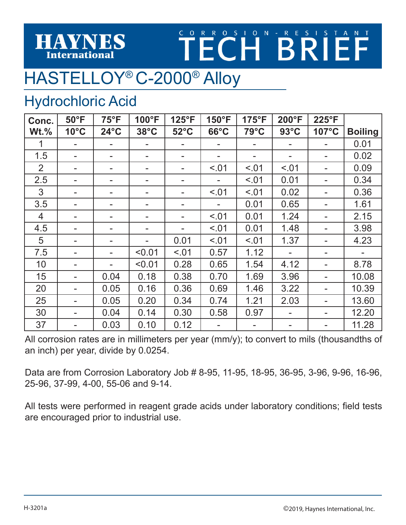## TECHBRIEF

## HASTELLOY® C-2000® Alloy

## Hydrochloric Acid

**HAYNES International** 

| Conc.          | $50^{\circ}$ F | $75^{\circ}F$  | 100°F          | $125^{\circ}F$ | 150°F          | 175°F          | $200^{\circ}F$ | 225°F |                |
|----------------|----------------|----------------|----------------|----------------|----------------|----------------|----------------|-------|----------------|
| $Wt.\%$        | $10^{\circ}$ C | $24^{\circ}$ C | $38^{\circ}$ C | $52^{\circ}$ C | $66^{\circ}$ C | $79^{\circ}$ C | $93^{\circ}$ C | 107°C | <b>Boiling</b> |
|                |                |                |                |                |                |                |                |       | 0.01           |
| 1.5            |                |                |                |                |                | ٠              |                |       | 0.02           |
| $\overline{2}$ |                |                |                |                | < 0.01         | < 0.01         | < 0.01         |       | 0.09           |
| 2.5            |                |                |                |                |                | < .01          | 0.01           |       | 0.34           |
| 3              |                |                |                |                | < 0.01         | < .01          | 0.02           |       | 0.36           |
| 3.5            |                |                |                |                |                | 0.01           | 0.65           |       | 1.61           |
| 4              |                |                |                |                | < 0.01         | 0.01           | 1.24           |       | 2.15           |
| 4.5            |                |                |                |                | < .01          | 0.01           | 1.48           |       | 3.98           |
| 5              |                |                |                | 0.01           | < .01          | < .01          | 1.37           |       | 4.23           |
| 7.5            |                |                | < 0.01         | < .01          | 0.57           | 1.12           |                |       |                |
| 10             |                | ۰              | < 0.01         | 0.28           | 0.65           | 1.54           | 4.12           |       | 8.78           |
| 15             |                | 0.04           | 0.18           | 0.38           | 0.70           | 1.69           | 3.96           |       | 10.08          |
| 20             |                | 0.05           | 0.16           | 0.36           | 0.69           | 1.46           | 3.22           |       | 10.39          |
| 25             |                | 0.05           | 0.20           | 0.34           | 0.74           | 1.21           | 2.03           |       | 13.60          |
| 30             |                | 0.04           | 0.14           | 0.30           | 0.58           | 0.97           |                |       | 12.20          |
| 37             |                | 0.03           | 0.10           | 0.12           |                |                |                |       | 11.28          |

All corrosion rates are in millimeters per year (mm/y); to convert to mils (thousandths of an inch) per year, divide by 0.0254.

Data are from Corrosion Laboratory Job # 8-95, 11-95, 18-95, 36-95, 3-96, 9-96, 16-96, 25-96, 37-99, 4-00, 55-06 and 9-14.

All tests were performed in reagent grade acids under laboratory conditions; field tests are encouraged prior to industrial use.